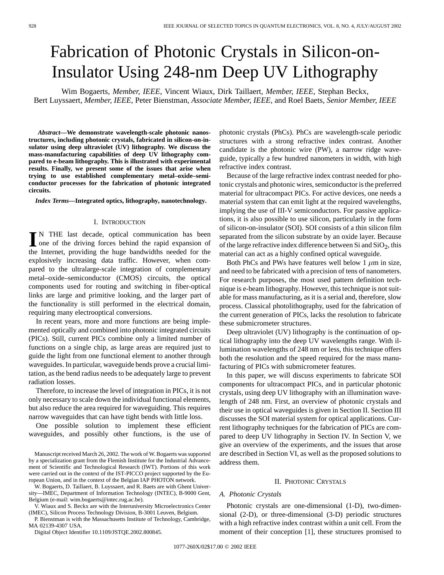# Fabrication of Photonic Crystals in Silicon-on-Insulator Using 248-nm Deep UV Lithography

Wim Bogaerts*, Member, IEEE*, Vincent Wiaux, Dirk Taillaert*, Member, IEEE*, Stephan Beckx, Bert Luyssaert*, Member, IEEE*, Peter Bienstman*, Associate Member, IEEE*, and Roel Baets*, Senior Member, IEEE*

*Abstract—***We demonstrate wavelength-scale photonic nanostructures, including photonic crystals, fabricated in silicon-on-insulator using deep ultraviolet (UV) lithography. We discuss the mass-manufacturing capabilities of deep UV lithography compared to e-beam lithography. This is illustrated with experimental results. Finally, we present some of the issues that arise when trying to use established complementary metal–oxide–semiconductor processes for the fabrication of photonic integrated circuits.**

*Index Terms—***Integrated optics, lithography, nanotechnology.**

#### I. INTRODUCTION

II N THE last decade, optical communication has been<br>one of the driving forces behind the rapid expansion of the Internet, providing the huge bandwidths needed for the explosively increasing data traffic. However, when compared to the ultralarge-scale integration of complementary metal–oxide–semiconductor (CMOS) circuits, the optical components used for routing and switching in fiber-optical links are large and primitive looking, and the larger part of the functionality is still performed in the electrical domain, requiring many electrooptical conversions.

In recent years, more and more functions are being implemented optically and combined into photonic integrated circuits (PICs). Still, current PICs combine only a limited number of functions on a single chip, as large areas are required just to guide the light from one functional element to another through waveguides. In particular, waveguide bends prove a crucial limitation, as the bend radius needs to be adequately large to prevent radiation losses.

Therefore, to increase the level of integration in PICs, it is not only necessary to scale down the individual functional elements, but also reduce the area required for waveguiding. This requires narrow waveguides that can have tight bends with little loss.

One possible solution to implement these efficient waveguides, and possibly other functions, is the use of

Manuscript received March 26, 2002. The work of W. Bogaerts was supported by a specialization grant from the Flemish Institute for the Industrial Advancement of Scientific and Technological Research (IWT). Portions of this work were carried out in the context of the IST-PICCO project supported by the European Union, and in the context of the Belgian IAP PHOTON network.

W. Bogaerts, D. Taillaert, B. Luyssaert, and R. Baets are with Ghent University—IMEC, Department of Information Technology (INTEC), B-9000 Gent, Belgium (e-mail: wim.bogaerts@intec.rug.ac.be).

V. Wiaux and S. Beckx are with the Interuniversity Microelectronics Center (IMEC), Silicon Process Technology Division, B-3001 Leuven, Belgium.

P. Bienstman is with the Massachusetts Institute of Technology, Cambridge, MA 02139-4307 USA.

Digital Object Identifier 10.1109/JSTQE.2002.800845.

photonic crystals (PhCs). PhCs are wavelength-scale periodic structures with a strong refractive index contrast. Another candidate is the photonic wire (PW), a narrow ridge waveguide, typically a few hundred nanometers in width, with high refractive index contrast.

Because of the large refractive index contrast needed for photonic crystals and photonic wires, semiconductor is the preferred material for ultracompact PICs. For active devices, one needs a material system that can emit light at the required wavelengths, implying the use of III-V semiconductors. For passive applications, it is also possible to use silicon, particularly in the form of silicon-on-insulator (SOI). SOI consists of a thin silicon film separated from the silicon substrate by an oxide layer. Because of the large refractive index difference between Si and  $SiO<sub>2</sub>$ , this material can act as a highly confined optical waveguide.

Both PhCs and PWs have features well below 1  $\mu$ m in size, and need to be fabricated with a precision of tens of nanometers. For research purposes, the most used pattern definition technique is e-beam lithography. However, this technique is not suitable for mass manufacturing, as it is a serial and, therefore, slow process. Classical photolithography, used for the fabrication of the current generation of PICs, lacks the resolution to fabricate these submicrometer structures.

Deep ultraviolet (UV) lithography is the continuation of optical lithography into the deep UV wavelengths range. With illumination wavelengths of 248 nm or less, this technique offers both the resolution and the speed required for the mass manufacturing of PICs with submicrometer features.

In this paper, we will discuss experiments to fabricate SOI components for ultracompact PICs, and in particular photonic crystals, using deep UV lithography with an illumination wavelength of 248 nm. First, an overview of photonic crystals and their use in optical waveguides is given in Section II. Section III discusses the SOI material system for optical applications. Current lithography techniques for the fabrication of PICs are compared to deep UV lithography in Section IV. In Section V, we give an overview of the experiments, and the issues that arose are described in Section VI, as well as the proposed solutions to address them.

#### II. PHOTONIC CRYSTALS

# *A. Photonic Crystals*

Photonic crystals are one-dimensional (1-D), two-dimensional (2-D), or three-dimensional (3-D) periodic structures with a high refractive index contrast within a unit cell. From the moment of their conception [1], these structures promised to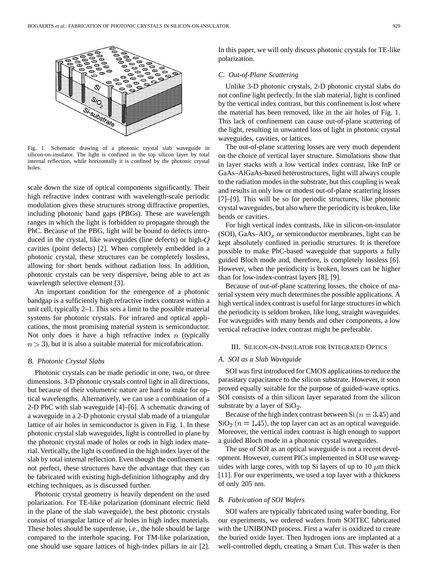

Fig. 1. Schematic drawing of a photonic crystal slab waveguide in silicon-on-insulator. The light is confined in the top silicon layer by total internal reflection, while horizontally it is confined by the photonic crystal holes.

scale down the size of optical components significantly. Their high refractive index contrast with wavelength-scale periodic modulation gives these structures strong diffractive properties, including photonic band gaps (PBGs). These are wavelength ranges in which the light is forbidden to propagate through the PhC. Because of the PBG, light will be bound to defects introduced in the crystal, like waveguides (line defects) or high- $Q$ cavities (point defects) [2]. When completely embedded in a photonic crystal, these structures can be completely lossless, allowing for short bends without radiation loss. In addition, photonic crystals can be very dispersive, being able to act as wavelength selective element [3].

An important condition for the emergence of a photonic bandgap is a sufficiently high refractive index contrast within a unit cell, typically 2–1. This sets a limit to the possible material systems for photonic crystals. For infrared and optical applications, the most promising material system is semiconductor. Not only does it have a high refractive index  $n$  (typically  $n > 3$ ), but it is also a suitable material for microfabrication.

#### *B. Photonic Crystal Slabs*

Photonic crystals can be made periodic in one, two, or three dimensions. 3-D photonic crystals control light in all directions, but because of their volumetric nature are hard to make for optical wavelengths. Alternatively, we can use a combination of a 2-D PhC with slab waveguide [4]–[6]. A schematic drawing of a waveguide in a 2-D photonic crystal slab made of a triangular lattice of air holes in semiconductor is given in Fig. 1. In these photonic crystal slab waveguides, light is controlled in plane by the photonic crystal made of holes or rods in high index material. Vertically, the light is confined in the high index layer of the slab by total internal reflection. Even though the confinement is not perfect, these structures have the advantage that they can be fabricated with existing high-definition lithography and dry etching techniques, as is discussed further.

Photonic crystal geometry is heavily dependent on the used polarization. For TE-like polarization (dominant electric field in the plane of the slab waveguide), the best photonic crystals consist of triangular lattice of air holes in high index materials. These holes should be superdense, i.e., the hole should be large compared to the interhole spacing. For TM-like polarization, one should use square lattices of high-index pillars in air [2]. In this paper, we will only discuss photonic crystals for TE-like polarization.

# *C. Out-of-Plane Scattering*

Unlike 3-D photonic crystals, 2-D photonic crystal slabs do not confine light perfectly. In the slab material, light is confined by the vertical index contrast, but this confinement is lost where the material has been removed, like in the air holes of Fig. 1. This lack of confinement can cause out-of-plane scattering of the light, resulting in unwanted loss of light in photonic crystal waveguides, cavities, or lattices.

The out-of-plane scattering losses are very much dependent on the choice of vertical layer structure. Simulations show that in layer stacks with a low vertical index contrast, like InP or GaAs–AlGaAs-based heterostructures, light will always couple to the radiation modes in the substrate, but this coupling is weak and results in only low or modest out-of-plane scattering losses [7]–[9]. This will be so for periodic structures, like photonic crystal waveguides, but also where the periodicity is broken, like bends or cavities.

For high vertical index contrasts, like in silicon-on-insulator (SOI), GaAs–AlO $_x$  or semiconductor membranes, light can be kept absolutely confined in periodic structures. It is therefore possible to make PhC-based waveguide that supports a fully guided Bloch mode and, therefore, is completely lossless [6]. However, when the periodicity is broken, losses can be higher than for low-index-contrast layers [8], [9].

Because of out-of-plane scattering losses, the choice of material system very much determines the possible applications. A high vertical index contrast is useful for large structures in which the periodicity is seldom broken, like long, straight waveguides. For waveguides with many bends and other components, a low vertical refractive index contrast might be preferable.

# III. SILICON-ON-INSULATOR FOR INTEGRATED OPTICS

## *A. SOI as a Slab Waveguide*

SOI was first introduced for CMOS applications to reduce the parasitary capacitance to the silicon substrate. However, it soon proved equally suitable for the purpose of guided-wave optics. SOI consists of a thin silicon layer separated from the silicon substrate by a layer of  $SiO<sub>2</sub>$ .

Because of the high index contrast between Si  $(n = 3.45)$  and  $SiO<sub>2</sub>$  ( $n = 1.45$ ), the top layer can act as an optical waveguide. Moreover, the vertical index contrast is high enough to support a guided Bloch mode in a photonic crystal waveguides.

The use of SOI as an optical waveguide is not a recent development. However, current PICs implemented in SOI use waveguides with large cores, with top Si layers of up to 10  $\mu$ m thick [11]. For our experiments, we used a top layer with a thickness of only 205 nm.

#### *B. Fabrication of SOI Wafers*

SOI wafers are typically fabricated using wafer bonding. For our experiments, we ordered wafers from SOITEC fabricated with the UNIBOND process. First a wafer is oxidized to create the buried oxide layer. Then hydrogen ions are implanted at a well-controlled depth, creating a Smart Cut. This wafer is then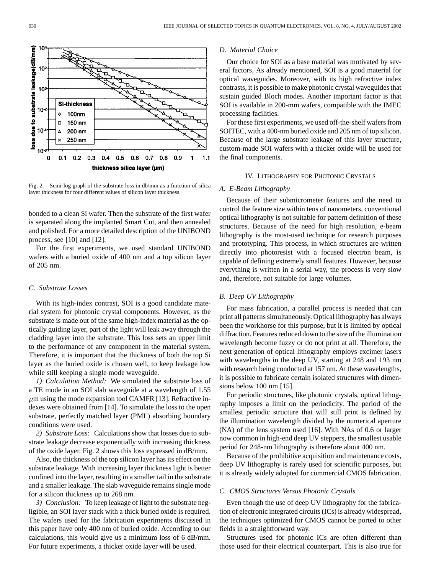

Fig. 2. Semi-log graph of the substrate loss in db/mm as a function of silica layer thickness for four different values of silicon layer thickness.

bonded to a clean Si wafer. Then the substrate of the first wafer is separated along the implanted Smart Cut, and then annealed and polished. For a more detailed description of the UNIBOND process, see [10] and [12].

For the first experiments, we used standard UNIBOND wafers with a buried oxide of 400 nm and a top silicon layer of 205 nm.

# *C. Substrate Losses*

With its high-index contrast, SOI is a good candidate material system for photonic crystal components. However, as the substrate is made out of the same high-index material as the optically guiding layer, part of the light will leak away through the cladding layer into the substrate. This loss sets an upper limit to the performance of any component in the material system. Therefore, it is important that the thickness of both the top Si layer as the buried oxide is chosen well, to keep leakage low while still keeping a single mode waveguide.

*1) Calculation Method:* We simulated the substrate loss of a TE mode in an SOI slab waveguide at a wavelength of 1.55  $\mu$ m using the mode expansion tool CAMFR [13]. Refractive indexes were obtained from [14]. To simulate the loss to the open substrate, perfectly matched layer (PML) absorbing boundary conditions were used.

*2) Substrate Loss:* Calculations show that losses due to substrate leakage decrease exponentially with increasing thickness of the oxide layer. Fig. 2 shows this loss expressed in dB/mm.

Also, the thickness of the top silicon layer has its effect on the substrate leakage. With increasing layer thickness light is better confined into the layer, resulting in a smaller tail in the substrate and a smaller leakage. The slab waveguide remains single mode for a silicon thickness up to 268 nm.

*3) Conclusion:* To keep leakage of light to the substrate negligible, an SOI layer stack with a thick buried oxide is required. The wafers used for the fabrication experiments discussed in this paper have only 400 nm of buried oxide. According to our calculations, this would give us a minimum loss of 6 dB/mm. For future experiments, a thicker oxide layer will be used.

#### *D. Material Choice*

Our choice for SOI as a base material was motivated by several factors. As already mentioned, SOI is a good material for optical waveguides. Moreover, with its high refractive index contrasts, it is possible to make photonic crystal waveguides that sustain guided Bloch modes. Another important factor is that SOI is available in 200-mm wafers, compatible with the IMEC processing facilities.

For these first experiments, we used off-the-shelf wafers from SOITEC, with a 400-nm buried oxide and 205 nm of top silicon. Because of the large substrate leakage of this layer structure, custom-made SOI wafers with a thicker oxide will be used for the final components.

# IV. LITHOGRAPHY FOR PHOTONIC CRYSTALS

#### *A. E-Beam Lithography*

Because of their submicrometer features and the need to control the feature size within tens of nanometers, conventional optical lithography is not suitable for pattern definition of these structures. Because of the need for high resolution, e-beam lithography is the most-used technique for research purposes and prototyping. This process, in which structures are written directly into photoresist with a focused electron beam, is capable of defining extremely small features. However, because everything is written in a serial way, the process is very slow and, therefore, not suitable for large volumes.

## *B. Deep UV Lithography*

For mass fabrication, a parallel process is needed that can print all patterns simultaneously. Optical lithography has always been the workhorse for this purpose, but it is limited by optical diffraction. Features reduced down to the size of the illumination wavelength become fuzzy or do not print at all. Therefore, the next generation of optical lithography employs excimer lasers with wavelengths in the deep UV, starting at 248 and 193 nm with research being conducted at 157 nm. At these wavelengths, it is possible to fabricate certain isolated structures with dimensions below 100 nm [15].

For periodic structures, like photonic crystals, optical lithography imposes a limit on the periodicity. The period of the smallest periodic structure that will still print is defined by the illumination wavelength divided by the numerical aperture (NA) of the lens system used [16]. With NAs of 0.6 or larger now common in high-end deep UV steppers, the smallest usable period for 248-nm lithography is therefore about 400 nm.

Because of the prohibitive acquisition and maintenance costs, deep UV lithography is rarely used for scientific purposes, but it is already widely adopted for commercial CMOS fabrication.

#### *C. CMOS Structures Versus Photonic Crystals*

Even though the use of deep UV lithography for the fabrication of electronic integrated circuits (ICs) is already widespread, the techniques optimized for CMOS cannot be ported to other fields in a straightforward way.

Structures used for photonic ICs are often different than those used for their electrical counterpart. This is also true for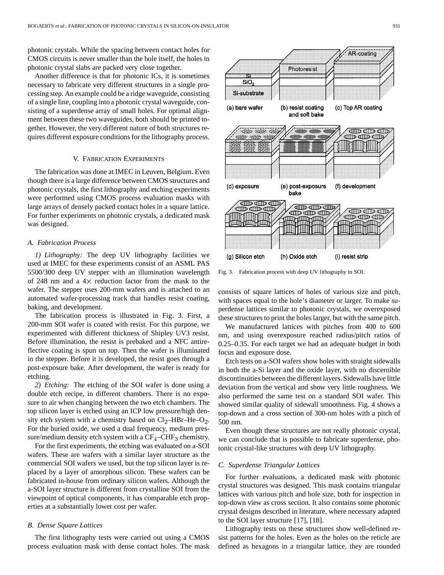photonic crystals. While the spacing between contact holes for CMOS circuits is never smaller than the hole itself, the holes in photonic crystal slabs are packed very close together.

Another difference is that for photonic ICs, it is sometimes necessary to fabricate very different structures in a single processing step. An example could be a ridge waveguide, consisting of a single line, coupling into a photonic crystal waveguide, consisting of a superdense array of small holes. For optimal alignment between these two waveguides, both should be printed together. However, the very different nature of both structures requires different exposure conditions for the lithography process.

## V. FABRICATION EXPERIMENTS

The fabrication was done at IMEC in Leuven, Belgium. Even though there is a large difference between CMOS structures and photonic crystals, the first lithography and etching experiments were performed using CMOS process evaluation masks with large arrays of densely packed contact holes in a square lattice. For further experiments on photonic crystals, a dedicated mask was designed.

## *A. Fabrication Process*

*1) Lithography:* The deep UV lithography facilities we used at IMEC for these experiments consist of an ASML PAS 5500/300 deep UV stepper with an illumination wavelength of 248 nm and a  $4 \times$  reduction factor from the mask to the wafer. The stepper uses 200-mm wafers and is attached to an automated wafer-processing track that handles resist coating, baking, and development.

The fabrication process is illustrated in Fig. 3. First, a 200-mm SOI wafer is coated with resist. For this purpose, we experimented with different thickness of Shipley UV3 resist. Before illumination, the resist is prebaked and a NFC antireflective coating is spun on top. Then the wafer is illuminated in the stepper. Before it is developed, the resist goes through a post-exposure bake. After development, the wafer is ready for etching.

*2) Etching:* The etching of the SOI wafer is done using a double etch recipe, in different chambers. There is no exposure to air when changing between the two etch chambers. The top silicon layer is etched using an ICP low pressure/high density etch system with a chemistry based on  $Cl_2-HBr-He-O_2$ . For the buried oxide, we used a dual frequency, medium pressure/medium density etch system with a  $CF_4$ -CHF<sub>3</sub> chemistry.

For the first experiments, the etching was evaluated on a-SOI wafers. These are wafers with a similar layer structure as the commercial SOI wafers we used, but the top silicon layer is replaced by a layer of amorphous silicon. These wafers can be fabricated in-house from ordinary silicon wafers. Although the a-SOI layer structure is different from crystalline SOI from the viewpoint of optical components, it has comparable etch properties at a substantially lower cost per wafer.

## *B. Dense Square Lattices*

The first lithography tests were carried out using a CMOS process evaluation mask with dense contact holes. The mask



Fig. 3. Fabrication process with deep UV lithography in SOI.

consists of square lattices of holes of various size and pitch, with spaces equal to the hole's diameter or larger. To make superdense lattices similar to photonic crystals, we overexposed these structures to print the holes larger, but with the same pitch.

We manufactured lattices with pitches from 400 to 600 nm, and using overexposure reached radius/pitch ratios of 0.25–0.35. For each target we had an adequate budget in both focus and exposure dose.

Etch tests on a-SOI wafers show holes with straight sidewalls in both the a-Si layer and the oxide layer, with no discernible discontinuities between the different layers. Sidewalls have little deviation from the vertical and show very little roughness. We also performed the same test on a standard SOI wafer. This showed similar quality of sidewall smoothness. Fig. 4 shows a top-down and a cross section of 300-nm holes with a pitch of 500 nm.

Even though these structures are not really photonic crystal, we can conclude that is possible to fabricate superdense, photonic crystal-like structures with deep UV lithography.

## *C. Superdense Triangular Lattices*

For further evaluations, a dedicated mask with photonic crystal structures was designed. This mask contains triangular lattices with various pitch and hole size, both for inspection in top-down view as cross section. It also contains some photonic crystal designs described in literature, where necessary adapted to the SOI layer structure [17], [18].

Lithography tests on these structures show well-defined resist patterns for the holes. Even as the holes on the reticle are defined as hexagons in a triangular lattice, they are rounded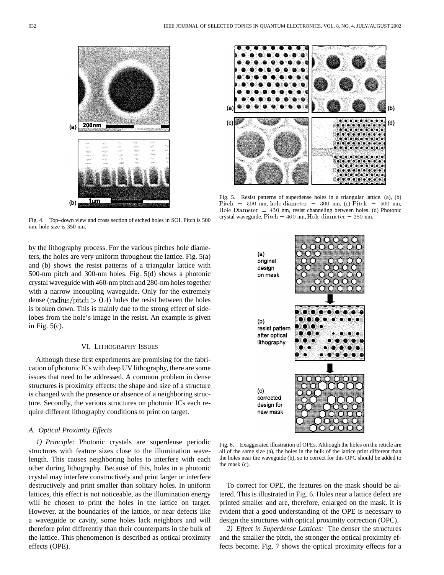

Fig. 4. Top–down view and cross section of etched holes in SOI. Pitch is 500 nm, hole size is 350 nm.

by the lithography process. For the various pitches hole diameters, the holes are very uniform throughout the lattice. Fig. 5(a) and (b) shows the resist patterns of a triangular lattice with 500-nm pitch and 300-nm holes. Fig. 5(d) shows a photonic crystal waveguide with 460-nm pitch and 280-nm holes together with a narrow incoupling waveguide. Only for the extremely dense (radius/pitch  $> 0.4$ ) holes the resist between the holes is broken down. This is mainly due to the strong effect of sidelobes from the hole's image in the resist. An example is given in Fig.  $5(c)$ .

## VI. LITHOGRAPHY ISSUES

Although these first experiments are promising for the fabrication of photonic ICs with deep UV lithography, there are some issues that need to be addressed. A common problem in dense structures is proximity effects: the shape and size of a structure is changed with the presence or absence of a neighboring structure. Secondly, the various structures on photonic ICs each require different lithography conditions to print on target.

#### *A. Optical Proximity Effects*

*1) Principle:* Photonic crystals are superdense periodic structures with feature sizes close to the illumination wavelength. This causes neighboring holes to interfere with each other during lithography. Because of this, holes in a photonic crystal may interfere constructively and print larger or interfere destructively and print smaller than solitary holes. In uniform lattices, this effect is not noticeable, as the illumination energy will be chosen to print the holes in the lattice on target. However, at the boundaries of the lattice, or near defects like a waveguide or cavity, some holes lack neighbors and will therefore print differently than their counterparts in the bulk of the lattice. This phenomenon is described as optical proximity effects (OPE).



Fig. 5. Resist patterns of superdense holes in a triangular lattice. (a), (b) Pitch =  $500$  nm, hole diameter =  $300$  nm. (c) Pitch =  $500$  nm, Hole Diameter  $= 430$  nm, resist channeling between holes. (d) Photonic crystal waveguide, Pitch = 460 nm, Hole diameter = 280 nm.



Fig. 6. Exaggerated illustration of OPEs. Although the holes on the reticle are all of the same size (a), the holes in the bulk of the lattice print different than the holes near the waveguide (b), so to correct for this OPC should be added to the mask (c).

To correct for OPE, the features on the mask should be altered. This is illustrated in Fig. 6. Holes near a lattice defect are printed smaller and are, therefore, enlarged on the mask. It is evident that a good understanding of the OPE is necessary to design the structures with optical proximity correction (OPC).

*2) Effect in Superdense Lattices:* The denser the structures and the smaller the pitch, the stronger the optical proximity effects become. Fig. 7 shows the optical proximity effects for a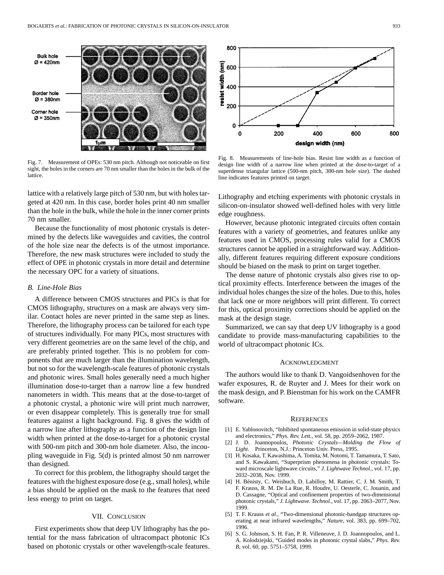

Fig. 7. Measurement of OPEs: 530 nm pitch. Although not noticeable on first sight, the holes in the corners are 70 nm smaller than the holes in the bulk of the lattice.

lattice with a relatively large pitch of 530 nm, but with holes targeted at 420 nm. In this case, border holes print 40 nm smaller than the hole in the bulk, while the hole in the inner corner prints 70 nm smaller.

Because the functionality of most photonic crystals is determined by the defects like waveguides and cavities, the control of the hole size near the defects is of the utmost importance. Therefore, the new mask structures were included to study the effect of OPE in photonic crystals in more detail and determine the necessary OPC for a variety of situations.

# *B. Line-Hole Bias*

A difference between CMOS structures and PICs is that for CMOS lithography, structures on a mask are always very similar. Contact holes are never printed in the same step as lines. Therefore, the lithography process can be tailored for each type of structures individually. For many PICs, most structures with very different geometries are on the same level of the chip, and are preferably printed together. This is no problem for components that are much larger than the illumination wavelength, but not so for the wavelength-scale features of photonic crystals and photonic wires. Small holes generally need a much higher illumination dose-to-target than a narrow line a few hundred nanometers in width. This means that at the dose-to-target of a photonic crystal, a photonic wire will print much narrower, or even disappear completely. This is generally true for small features against a light background. Fig. 8 gives the width of a narrow line after lithography as a function of the design line width when printed at the dose-to-target for a photonic crystal with 500-nm pitch and 300-nm hole diameter. Also, the incoupling waveguide in Fig. 5(d) is printed almost 50 nm narrower than designed.

To correct for this problem, the lithography should target the features with the highest exposure dose (e.g., small holes), while a bias should be applied on the mask to the features that need less energy to print on target.

## VII. CONCLUSION

First experiments show that deep UV lithography has the potential for the mass fabrication of ultracompact photonic ICs based on photonic crystals or other wavelength-scale features.



Fig. 8. Measurements of line-hole bias. Resist line width as a function of design line width of a narrow line when printed at the dose-to-target of a superdense triangular lattice (500-nm pitch, 300-nm hole size). The dashed line indicates features printed on target.

Lithography and etching experiments with photonic crystals in silicon-on-insulator showed well-defined holes with very little edge roughness.

However, because photonic integrated circuits often contain features with a variety of geometries, and features unlike any features used in CMOS, processing rules valid for a CMOS structures cannot be applied in a straightforward way. Additionally, different features requiring different exposure conditions should be biased on the mask to print on target together.

The dense nature of photonic crystals also gives rise to optical proximity effects. Interference between the images of the individual holes changes the size of the holes. Due to this, holes that lack one or more neighbors will print different. To correct for this, optical proximity corrections should be applied on the mask at the design stage.

Summarized, we can say that deep UV lithography is a good candidate to provide mass-manufacturing capabilities to the world of ultracompact photonic ICs.

## ACKNOWLEDGMENT

The authors would like to thank D. Vangoidsenhoven for the wafer exposures, R. de Ruyter and J. Mees for their work on the mask design, and P. Bienstman for his work on the CAMFR software.

#### **REFERENCES**

- [1] E. Yablonovitch, "Inhibited spontaneous emission in solid-state physics and electronics," *Phys. Rev. Lett.*, vol. 58, pp. 2059–2062, 1987.
- [2] J. D. Joannopoulos, *Photonic Crystals—Molding the Flow of Light*. Princeton, N.J.: Princeton Univ. Press, 1995.
- [3] H. Kosaka, T. Kawashima, A. Tomita, M. Notomi, T. Tamamura, T. Sato, and S. Kawakami, "Superprism phenomena in photonic crystals: Toward microscale lightwave circuits," *J. Lightwave Technol.*, vol. 17, pp. 2032–2038, Nov. 1999.
- [4] H. Bénisty, C. Weisbuch, D. Labilloy, M. Rattier, C. J. M. Smith, T. F. Krauss, R. M. De La Rue, R. Houdre, U. Oesterle, C. Jouanin, and D. Cassagne, "Optical and confinement properties of two-dimensional photonic crystals," *J. Lightwave. Technol.*, vol. 17, pp. 2063–2077, Nov. 1999.
- [5] T. F. Krauss *et al.*, "Two-dimensional photonic-bandgap structures operating at near infrared wavelengths," *Nature*, vol. 383, pp. 699–702, 1996.
- [6] S. G. Johnson, S. H. Fan, P. R. Villeneuve, J. D. Joannopoulos, and L. A. Kolodziejski, "Guided modes in photonic crystal slabs," *Phys. Rev. B*, vol. 60, pp. 5751–5758, 1999.